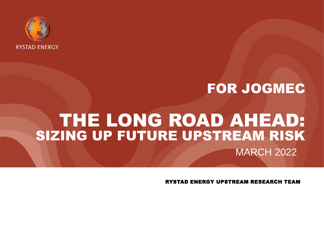

# FOR JOGMEC

# THE LONG ROAD AHEAD: SIZING UP FUTURE UPSTREAM RISK MARCH 2022

RYSTAD ENERGY UPSTREAM RESEARCH TEAM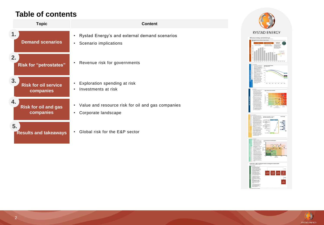### **Table of contents**

| <b>Topic</b>                        | Content                                             |
|-------------------------------------|-----------------------------------------------------|
| 1.                                  | Rystad Energy's and external demand scenarios       |
| <b>Demand scenarios</b>             | Scenario implications                               |
| 2.<br><b>Risk for "petrostates"</b> | Revenue risk for governments                        |
| 3.                                  | Exploration spending at risk                        |
| <b>Risk for oil service</b>         | Investments at risk                                 |
| companies                           | $\bullet$                                           |
| 4.                                  | • Value and resource risk for oil and gas companies |
| <b>Risk for oil and gas</b>         | Corporate landscape                                 |
| companies                           | ٠                                                   |
| 5.<br><b>Results and takeaways</b>  | Global risk for the E&P sector                      |



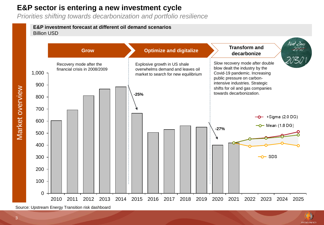### **E&P sector is entering a new investment cycle**

*Priorities shifting towards decarbonization and portfolio resilience*

#### **E&P investment forecast at different oil demand scenarios** Billion USD





Market overview

Market overview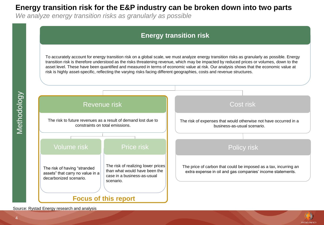### <span id="page-3-0"></span>**Energy transition risk for the E&P industry can be broken down into two parts**

*We analyze energy transition risks as granularly as possible*

### **Energy transition risk**

To accurately account for energy transition risk on a global scale, we must analyze energy transition risks as granularly as possible. Energy transition risk is therefore understood as the risks threatening revenue, which may be impacted by reduced prices or volumes, down to the asset level. These have been quantified and measured in terms of economic value at risk. Our analysis shows that the economic value at risk is highly asset-specific, reflecting the varying risks facing different geographies, costs and revenue structures.



### Revenue risk Cost risk Cost risk

The risk to future revenues as a result of demand lost due to constraints on total emissions.

#### Volume risk

The risk of having "stranded assets" that carry no value in a decarbonized scenario.

#### Price risk **Price risk** Policy risk

The risk of realizing lower prices than what would have been the case in a business-as-usual scenario.

## The risk of expenses that would otherwise not have occurred in a business-as-usual scenario.

The price of carbon that could be imposed as a tax, incurring an extra expense in oil and gas companies' income statements.

### **Focus of this report**

Source: Rystad Energy research and analysis

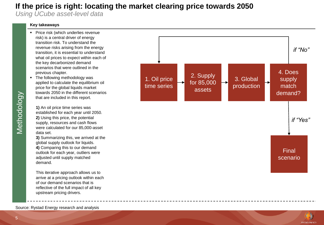### **If the price is right: locating the market clearing price towards 2050**

*Using UCube asset-level data*

#### **Key takeaways**

- Price risk (which underlies revenue risk) is a central driver of energy transition risk. To understand the revenue risks arising from the energy transition, it is essential to understand what oil prices to expect within each of the key decarbonized demand scenarios that were outlined in the previous chapter.
- The following methodology was applied to calculate the equilibrium oil price for the global liquids market towards 2050 in the different scenarios that are included in this report.

**1)** An oil price time series was established for each year until 2050. **2)** Using this price, the potential supply, resources and cash flows were calculated for our 85,000-asset data set.

**3)** Summarizing this, we arrived at the global supply outlook for liquids. **4)** Comparing this to our demand outlook for each year, outliers were adjusted until supply matched demand.

This iterative approach allows us to arrive at a pricing outlook within each of our demand scenarios that is reflective of the full impact of all key upstream pricing drivers.





Source: Rystad Energy research and analysis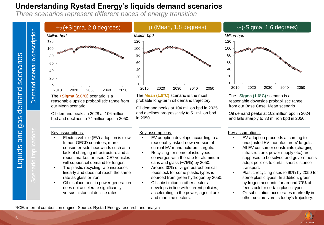## **Understanding Rystad Energy's liquids demand scenarios**

*Three scenarios represent different paces of energy transition*



Demand scenario description



The **+Sigma (2.0°C)** scenario is a reasonable upside probabilistic range from our Mean scenario.

Oil demand peaks in 2028 at 106 million bpd and declines to 74 million bpd in 2050.

#### Key assumptions:

- Electric vehicle (EV) adoption is slow. In non-OECD countries, more consumer-side headwinds such as a lack of charging infrastructure and a robust market for used ICE\* vehicles will support oil demand for longer.
- The plastic recycling rate increases linearly and does not reach the same rate as glass or iron.
- Oil displacement in power generation does not accelerate significantly versus historical decline rates.



The **Mean (1.8°C)** scenario is the most probable long-term oil demand trajectory.

Oil demand peaks at 104 million bpd in 2025 and declines progressively to 51 million bpd in 2050.

#### Key assumptions:

- EV adoption develops according to a reasonably risked-down version of current EV manufacturers' targets.
- Recycling for some plastic types converges with the rate for aluminum cans and glass (~75%) by 2050.
- Around 30% of virgin petrochemical feedstock for some plastic types is sourced from green hydrogen by 2050.
- Oil substitution in other sectors develops in line with current policies, accelerating in the power, agriculture and maritime sectors.



The **–Sigma (1.6°C)** scenario is a reasonable downside probabilistic range from our Base Case: Mean scenario

Oil demand peaks at 102 million bpd in 2024 and falls sharply to 33 million bpd in 2050.

#### Key assumptions:

- EV adoption proceeds according to unadjusted EV manufacturers' targets.
- All EV consumer constraints (charging infrastructure, power supply etc.) are supposed to be solved and governments adopt policies to curtail short-distance transport.
- Plastic recycling rises to 90% by 2050 for some plastic types. In addition, green hydrogen accounts for around 70% of feedstock for certain plastic types.
- Oil substitution accelerates markedly in other sectors versus today's trajectory.

\*ICE: internal combustion engine. Source: Rystad Energy research and analysis

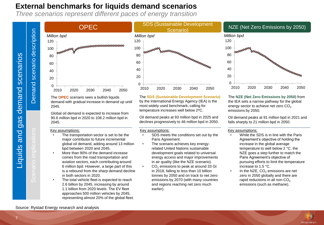### **External benchmarks for liquids demand scenarios**

*Three scenarios represent different paces of energy transition*



The **OPEC** scenario sees a bullish liquids demand with gradual increase in demand up until 2045.

Global oil demand is expected to increase from 90.6 million bpd in 2020 to 108.2 million bpd in 2045.

#### Key assumptions:

- The transportation sector is set to be the major contributor to future incremental global oil demand, adding around 13 million bpd between 2020 and 2045.
- More than 90% of the demand increase comes from the road transportation and aviation sectors, each contributing around 6 million bpd. However, a large part of this is a rebound from the sharp demand decline in both sectors in 2020.
- The total vehicle fleet is expected to reach 2.6 billion by 2045, increasing by around 1.1 billion from 2020 levels. The EV fleet approaches 500 million vehicles by 2045, representing almost 20% of the global fleet.



The **SDS (Sustainable Development Scenario)** by the International Energy Agency (IEA) is the most widely used benchmark, calling for temperature increases well below 2*<sup>o</sup>*C.

Oil demand peaks at 93 million bpd in 2025 and declines progressively to 46 million bpd in 2050.

#### Key assumptions:

- SDS meets the conditions set out by the Paris Agreement.
- The scenario achieves key energyrelated United Nations sustainable development goals related to universal energy access and major improvements in air quality (like the NZE scenario).
- CO<sub>2</sub> emissions to peak at around 33 Gt in 2018, falling to less than 10 billion tonnes by 2050 and on track to net zero emissions by 2070 (with many countries and regions reaching net zero much earlier).

#### NZE (Net Zero Emissions by 2050)



The **NZE (Net Zero Emissions by 2050)** from the IEA sets a narrow pathway for the global energy sector to achieve net zero CO<sub>2</sub> emissions by 2050.

Oil demand peaks at 91 million bpd in 2021 and falls sharply to 21 million bpd in 2050.

#### Key assumptions:

- While the SDS is in line with the Paris Agreement's objective of holding the increase in the global average temperature to well below 2 °C, the NZE goes a step further to match the Paris Agreement's objective of pursuing efforts to limit the temperature increase to 1.5 °C.
- $\cdot$  In the NZE, CO<sub>2</sub> emissions are net zero in 2050 globally and there are rapid reductions in all non- $CO<sub>2</sub>$ emissions (such as methane).



Source: Rystad Energy research and analysis

Demand scenario description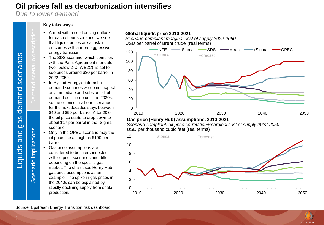### **Oil prices fall as decarbonization intensifies**

*Due to lower demand*

Demand scenario description

Scenario implications

Scenario implications

#### **Key takeaways**

- Armed with a solid pricing outlook for each of our scenarios, we see that liquids prices are at risk in outcomes with a more aggressive energy transition.
- The SDS scenario, which complies with the Paris Agreement mandate (well below  $2^{\circ}$ C, WB2C), is set to see prices around \$30 per barrel in 2022-2050.
- In Rystad Energy's internal oil demand scenarios we do not expect any immediate and substantial oil demand decline up until the 2030s, so the oil price in all our scenarios for the next decades stays between \$40 and \$50 per barrel. After 2034 the oil price starts to drop down to about \$17 per barrel in the -Sigma scenario.
- Only in the OPEC scenario may the oil price rise as high as \$100 per barrel.
- Gas price assumptions are considered to be interconnected with oil price scenarios and differ depending on the specific gas market. The chart uses Henry Hub gas price assumptions as an example. The spike in gas prices in the 2040s can be explained by rapidly declining supply from shale production.



#### **Gas price (Henry Hub) assumptions, 2010-2021**

**Global liquids price 2010-2021**

*Scenario-compliant: oil price correlation+marginal cost of supply 2022-2050*  USD per thousand cubic feet (real terms)



**RYSTAD ENERGY** 

Source: Upstream Energy Transition risk dashboard

Liquids and gas demand scenarios

gas

and

Liquids

demand scenarios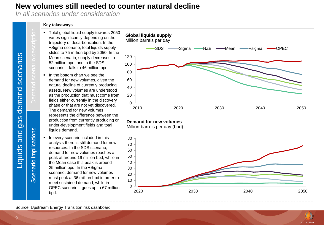### **New volumes still needed to counter natural decline**

*In all scenarios under consideration*

#### **Key takeaways**

- Total global liquid supply towards 2050 varies significantly depending on the trajectory of decarbonization. In the +Sigma scenario, total liquids supply slides to 75 million bpd by 2050. In the Mean scenario, supply decreases to 52 million bpd, and in the SDS scenario it falls to 46 million bpd.
- In the bottom chart we see the demand for new volumes, given the natural decline of currently producing assets. New volumes are understood as the production that must come from fields either currently in the discovery phase or that are not yet discovered. The demand for new volumes represents the difference between the production from currently producing or under-development fields and total liquids demand.
- **·** In every scenario included in this analysis there is still demand for new resources. In the SDS scenario, demand for new volumes reaches a peak at around 19 million bpd, while in the Mean case this peak is around 25 million bpd. In the +Sigma scenario, demand for new volumes must peak at 36 million bpd in order to meet sustained demand, while in OPEC scenario it goes up to 67 million bpd.



#### **Demand for new volumes**

Million barrels per day (bpd)



**RYSTAD ENERGY** 

Source: Upstream Energy Transition risk dashboard

Liquids and gas demand scenarios

gas

and

Liquids

demand scenarios

Demand scenario description

Scenario implications

Scenario implications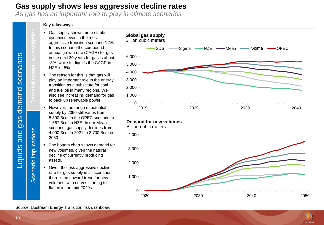### <span id="page-9-0"></span>**Gas supply shows less aggressive decline rates**

*As gas has an important role to play in climate scenarios*

#### **Key takeaways**

- Gas supply shows more stable dynamics even in the most aggressive transition scenario NZE. In this scenario the compound annual growth rate (CAGR) for gas in the next 30 years for gas is about -3%, while for liquids the CAGR in NZE is -5%.
- The reason for this is that gas will play an important role in the energy transition as a substitute for coal and fuel oil in many regions. We also see increasing demand for gas to back up renewable power.
- However, the range of potential supply by 2050 still varies from 5,300 Bcm in the OPEC scenario to 1,667 Bcm in NZE. In our Mean scenario, gas supply declines from 4,000 Bcm in 2021 to 3,700 Bcm in 2050.
- The bottom chart shows demand for new volumes, given the natural decline of currently producing assets.
- Given the less aggressive decline rate for gas supply in all scenarios, there is an upward trend for new volumes, with curves starting to flatten in the mid-2040s.





Billion cubic meters





Source: Upstream Energy Transition risk dashboard

Liquids and gas demand scenarios

gas

and

Liquids

demand scenarios

Demand scenario description

Scenario implications

Scenario implications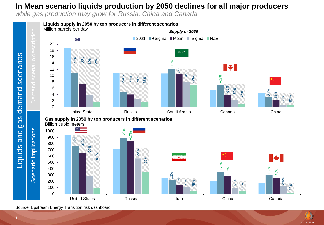### **In Mean scenario liquids production by 2050 declines for all major producers**

*while gas production may grow for Russia, China and Canada*



Source: Upstream Energy Transition risk dashboard



gas demand scenarios

and

Liquids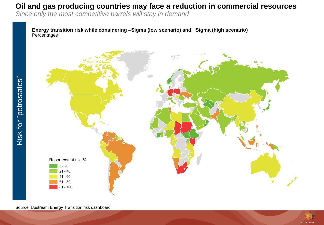### **Oil and gas producing countries may face a reduction in commercial resources**

*Since only the most competitive barrels will stay in demand* 

**Energy transition risk while considering –Sigma (low scenario) and +Sigma (high scenario) Percentages** 



Source: Upstream Energy Transition risk dashboard

Risk for "petrostates"

Risk for "petrostates"

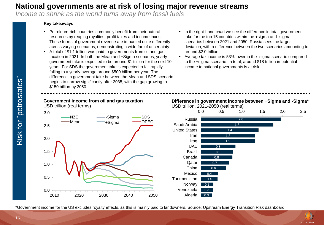### **National governments are at risk of losing major revenue streams**

*Income to shrink as the world turns away from fossil fuels*

#### **Key takeaways**

- Petroleum-rich countries commonly benefit from their natural resources by reaping royalties, profit taxes and income taxes. These forms of government revenue are impacted quite differently across varying scenarios, demonstrating a wide fan of uncertainty.
- A total of \$1.1 trillion was paid to governments from oil and gas taxation in 2021. In both the Mean and +Sigma scenarios, yearly government take is expected to be around \$1 trillion for the next 10 years. For SDS the government take is expected to fall rapidly, falling to a yearly average around \$500 billion per year. The difference in government take between the Mean and SDS scenario begins to narrow significantly after 2035, with the gap growing to \$150 billion by 2050.
- In the right-hand chart we see the difference in total government take for the top 15 countries within the +sigma and -sigma scenarios between 2021 and 2050. Russia sees the largest deviation, with a difference between the two scenarios amounting to around \$2.0 trillion.
- Average tax income is 53% lower in the -sigma scenario compared to the +sigma scenario. In total, around \$18 trillion in potential income to national governments is at risk.



\*Government income for the US excludes royalty effects, as this is mainly paid to landowners. Source: Upstream Energy Transition Risk dashboard

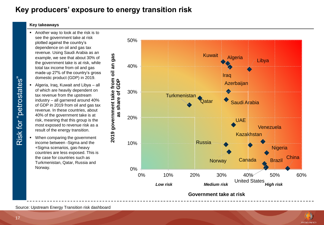### **Key producers' exposure to energy transition risk**

#### **Key takeaways**

- Another way to look at the risk is to see the government take at risk plotted against the country's dependence on oil and gas tax revenue. Using Saudi Arabia as an example, we see that about 30% of the government take is at risk, while total tax income from oil and gas made up 27% of the country's gross domestic product (GDP) in 2019.
- Algeria, Iraq, Kuwait and Libya all of which are heavily dependent on tax revenue from the upstream industry – all garnered around 40% of GDP in 2019 from oil and gas tax revenue. In these countries, about 40% of the government take is at risk, meaning that this group is the most exposed to revenue risk as a result of the energy transition.
- When comparing the government income between -Sigma and the +Sigma scenarios, gas-heavy countries are less exposed. This is the case for countries such as Turkmenistan, Qatar, Russia and Norway.



Source: Upstream Energy Transition risk dashboard



17

Risk for "petrostates"

Risk for "petrostates"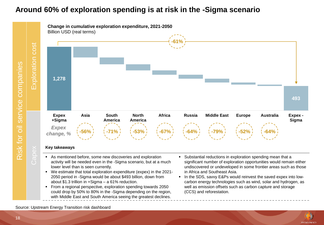### **Around 60% of exploration spending is at risk in the -Sigma scenario**

Risk for oil service companies<br>Capex **Exploration cost** service companies Risk for oil

cost

Exploration



#### **Key takeaways**

- As mentioned before, some new discoveries and exploration activity will be needed even in the -Sigma scenario, but at a much lower level than is seen currently.
- We estimate that total exploration expenditure (expex) in the 2021- 2050 period in -Sigma would be about \$493 billion, down from about \$1.3 trillion in +Sigma – a 61% reduction.
- From a regional perspective, exploration spending towards 2050 could drop by 50% to 80% in the -Sigma depending on the region, with Middle East and South America seeing the greatest declines.
- Substantial reductions in exploration spending mean that a significant number of exploration opportunities would remain either undiscovered or undeveloped in some frontier areas such as those in Africa and Southeast Asia.
- In the SDS, savvy E&Ps would reinvest the saved expex into lowcarbon energy technologies such as wind, solar and hydrogen, as well as emission offsets such as carbon capture and storage (CCS) and reforestation.



Source: Upstream Energy Transition risk dashboard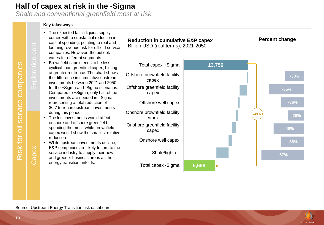### <span id="page-15-0"></span>**Half of capex at risk in the -Sigma**

*Shale and conventional greenfield most at risk*

#### **Key takeaways**

- Source: Upstream Energy Transition universal and the service in the service companies. However, the outlook varies for different segments.<br>
Bowwrield dapex tends to be less<br>
cyclical than greenfield capex, hin<br>
at greater The expected fall in liquids supply comes with a substantial reduction in capital spending, pointing to real and looming revenue risk for oilfield service companies. However, the outlook varies for different segments. Brownfield capex tends to be less cyclical than greenfield capex, hinting at greater resilience. The chart shows the difference in cumulative upstream investments between 2021 and 2050 for the +Sigma and -Sigma scenarios. Compared to +Sigma, only half of the investments are needed in –Sigma, representing a total reduction of \$6.7 trillion in upstream investments during this period. ■ The lost investments would affect onshore and offshore greenfield spending the most, while brownfield capex would show the smallest relative reduction. Total capex +Sigma **13,756** Offshore brownfield facility capex Offshore greenfield facility capex Offshore well capex Onshore brownfield facility capex Onshore greenfield facility capex Onshore well capex Billion USD (real terms), 2021-2050
	- While upstream investments decline, E&P companies are likely to turn to the service industry to supply their new and greener business areas as the

**Reduction in cumulative E&P capex** 

**Percent change**



**RYSTAD ENFRG**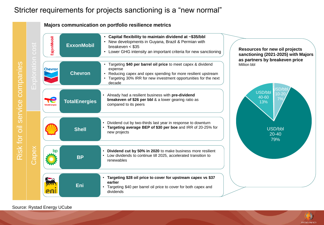### Stricter requirements for projects sanctioning is a "new normal"

#### **Majors communication on portfolio resilience metrics**



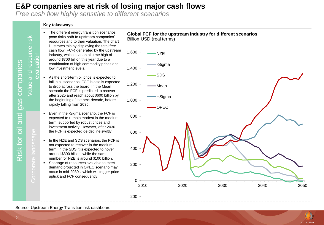### **E&P companies are at risk of losing major cash flows**

*Free cash flow highly sensitive to different scenarios*

#### **Key takeaways**

- The different energy transition scenarios pose risks both to upstream companies' resources and to their valuation. The chart illustrates this by displaying the total free cash flow (FCF) generated by the upstream industry, which is at an all-time high of around \$700 billion this year due to a combination of high commodity prices and low investment levels.
- As the short-term oil price is expected to fall in all scenarios, FCF is also is expected to drop across the board. In the Mean scenario the FCF is predicted to recover after 2025 and reach about \$600 billion by the beginning of the next decade, before rapidly falling from 2035. evaluation
	- Even in the -Sigma scenario, the FCF is expected to remain modest in the medium term, supported by robust prices and investment activity. However, after 2030 the FCF is expected de decline swiftly.
	- In the NZE and SDS scenarios, the FCF is not expected to recover in the medium term. In the SDS it is expected to hover around \$300 billion, while the same number for NZE is around \$100 billion.
	- Shortage of resources available to meet demand projected in OPEC scenario may occur in mid-2030s, which will trigger price uptick and FCF consequently.



Source: Upstream Energy Transition risk dashboard



companies Risk for oil and gas companies gas and Risk for oil

Value and resource risk

ဖိ ਠ  $\overline{a}$ 

 $\overline{\sigma}$ 

ource

risk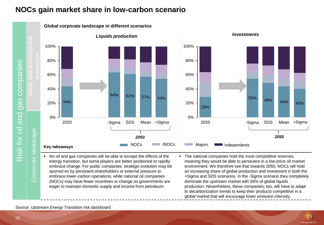### **NOCs gain market share in low-carbon scenario**

**Global corporate landscape in different scenarios**

companies Risk for oil and gas companies gas and Risk for oil

Corporate landscape



■ No oil and gas companies will be able to escape the effects of the energy transition, but some players are better positioned to rapidly embrace change. For public companies, strategic evolution may be spurred on by persistent shareholders or external pressure to embrace lower-carbon operations, while national oil companies (NOCs) may have fewer incentives to change as governments are eager to maintain domestic supply and income from petroleum.

■ The national companies hold the most competitive reserves, meaning they would be able to persevere in a low-price oil market environment. We therefore see that towards 2050, NOCs will hold an increasing share of global production and investment in both the +Sigma and SDS scenarios. In the -Sigma scenario they completely dominate the upstream market with 65% of global liquids production. Nevertheless, these companies, too, will have to adapt to decarbonization trends to keep their products competitive in a global market that will encourage lower emission intensity.

55% 49% 44% 40%

**RYSTAD ENFRG** 

Source: Upstream Energy Transition risk dashboard

22